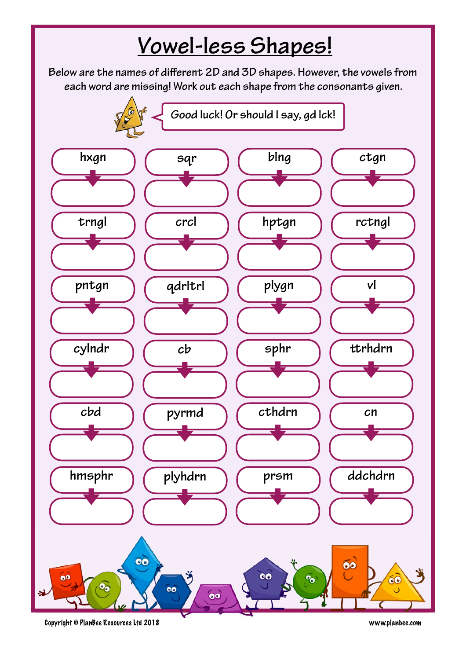### **Vowel-less Shapes!**

**Below are the names of different 2D and 3D shapes. However, the vowels from each word are missing! Work out each shape from the consonants given.**

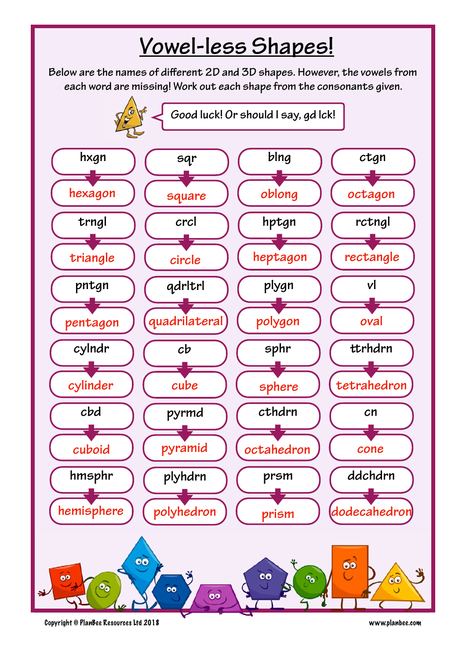#### **Vowel-less Shapes!**

**Below are the names of different 2D and 3D shapes. However, the vowels from each word are missing! Work out each shape from the consonants given.**

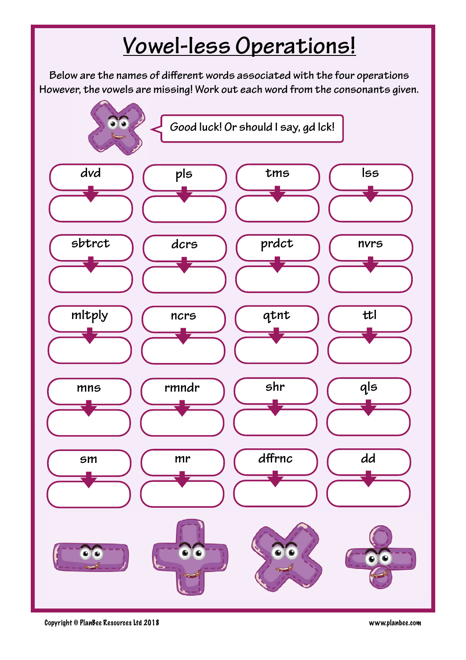## **Vowel-less Operations!**

**Below are the names of different words associated with the four operations However, the vowels are missing! Work out each word from the consonants given.**

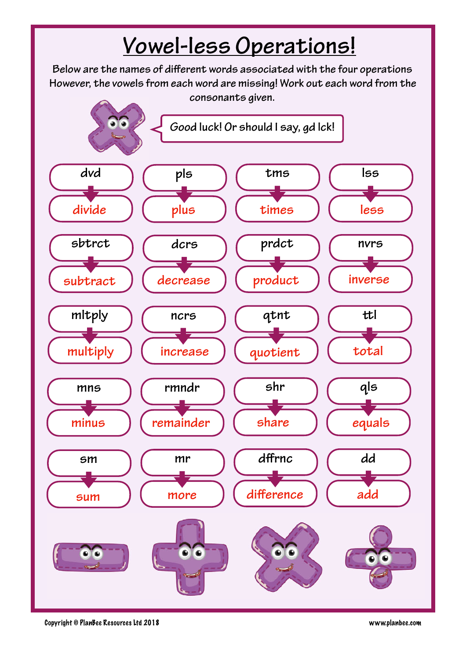# **Vowel-less Operations!**

**Below are the names of different words associated with the four operations However, the vowels from each word are missing! Work out each word from the consonants given.**

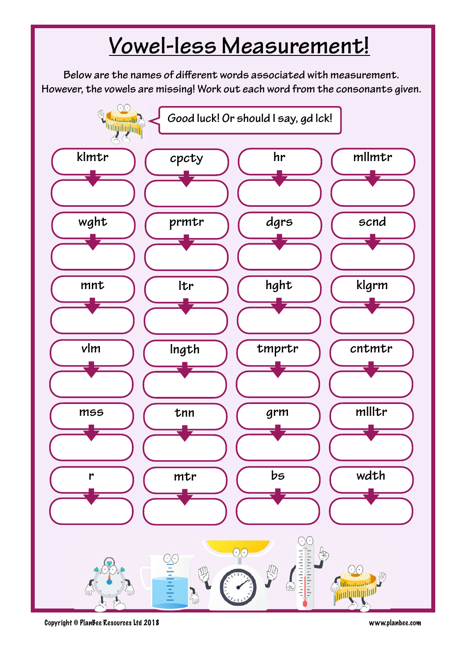## **Vowel-less Measurement!**

**Below are the names of different words associated with measurement. However, the vowels are missing! Work out each word from the consonants given.**

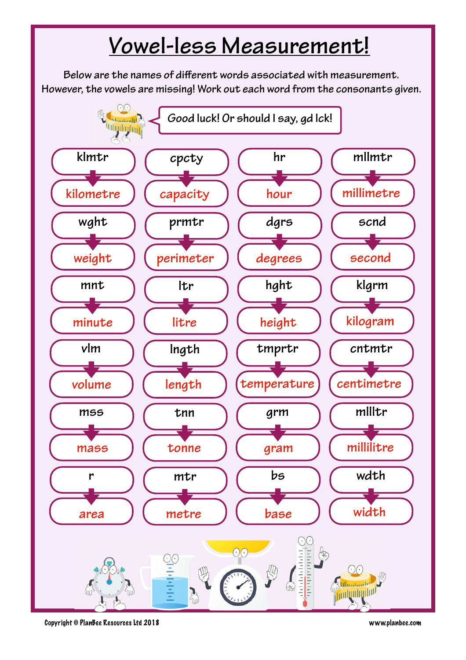## **Vowel-less Measurement!**

**Below are the names of different words associated with measurement. However, the vowels are missing! Work out each word from the consonants given.**

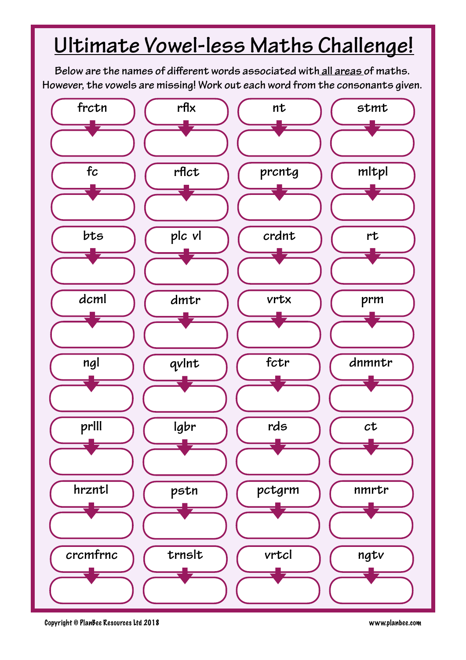#### **Ultimate Vowel-less Maths Challenge!**

**Below are the names of different words associated with all areas of maths. However, the vowels are missing! Work out each word from the consonants given.**